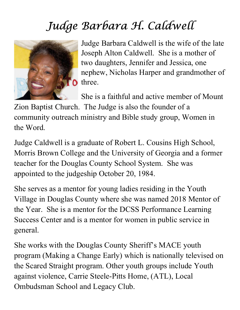## Judge Barbara H. Caldwell



Judge Barbara Caldwell is the wife of the late Joseph Alton Caldwell. She is a mother of two daughters, Jennifer and Jessica, one nephew, Nicholas Harper and grandmother of **O** three.

She is a faithful and active member of Mount

Zion Baptist Church. The Judge is also the founder of a community outreach ministry and Bible study group, Women in the Word.

Judge Caldwell is a graduate of Robert L. Cousins High School, Morris Brown College and the University of Georgia and a former teacher for the Douglas County School System. She was appointed to the judgeship October 20, 1984.

She serves as a mentor for young ladies residing in the Youth Village in Douglas County where she was named 2018 Mentor of the Year. She is a mentor for the DCSS Performance Learning Success Center and is a mentor for women in public service in general.

She works with the Douglas County Sheriff's MACE youth program (Making a Change Early) which is nationally televised on the Scared Straight program. Other youth groups include Youth against violence, Carrie Steele-Pitts Home, (ATL), Local Ombudsman School and Legacy Club.